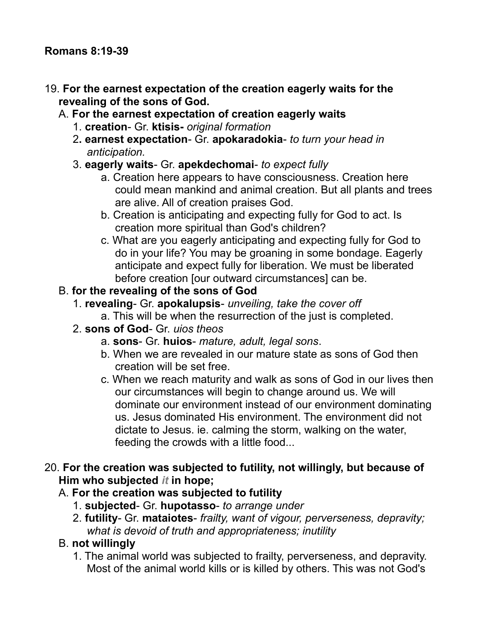## 19. **For the earnest expectation of the creation eagerly waits for the revealing of the sons of God.**

- A. **For the earnest expectation of creation eagerly waits**
	- 1. **creation** Gr. **ktisis-** *original formation*
	- 2**. earnest expectation** Gr. **apokaradokia** *to turn your head in anticipation.*
	- 3. **eagerly waits** Gr. **apekdechomai** *to expect fully*
		- a. Creation here appears to have consciousness. Creation here could mean mankind and animal creation. But all plants and trees are alive. All of creation praises God.
		- b. Creation is anticipating and expecting fully for God to act. Is creation more spiritual than God's children?
		- c. What are you eagerly anticipating and expecting fully for God to do in your life? You may be groaning in some bondage. Eagerly anticipate and expect fully for liberation. We must be liberated before creation [our outward circumstances] can be.

## B. **for the revealing of the sons of God**

- 1. **revealing** Gr. **apokalupsis** *unveiling, take the cover off*
	- a. This will be when the resurrection of the just is completed.
- 2. **sons of God** Gr. *uios theos*
	- a. **sons** Gr. **huios** *mature, adult, legal sons*.
	- b. When we are revealed in our mature state as sons of God then creation will be set free.
	- c. When we reach maturity and walk as sons of God in our lives then our circumstances will begin to change around us. We will dominate our environment instead of our environment dominating us. Jesus dominated His environment. The environment did not dictate to Jesus. ie. calming the storm, walking on the water, feeding the crowds with a little food...
- 20. **For the creation was subjected to futility, not willingly, but because of Him who subjected** *it* **in hope;**

## A. **For the creation was subjected to futility**

- 1. **subjected** Gr. **hupotasso** *to arrange under*
- 2. **futility** Gr. **mataiotes** *frailty, want of vigour, perverseness, depravity; what is devoid of truth and appropriateness; inutility*

## B. **not willingly**

1. The animal world was subjected to frailty, perverseness, and depravity. Most of the animal world kills or is killed by others. This was not God's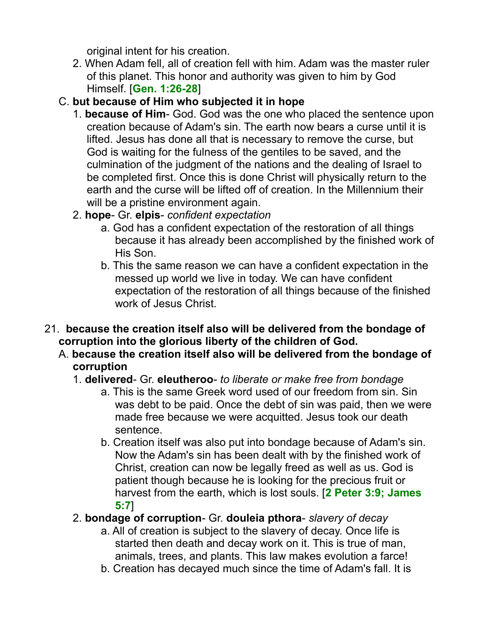original intent for his creation.

- 2. When Adam fell, all of creation fell with him. Adam was the master ruler of this planet. This honor and authority was given to him by God Himself. [**Gen. 1:26-28**]
- C. **but because of Him who subjected it in hope**
	- 1. **because of Him** God. God was the one who placed the sentence upon creation because of Adam's sin. The earth now bears a curse until it is lifted. Jesus has done all that is necessary to remove the curse, but God is waiting for the fulness of the gentiles to be saved, and the culmination of the judgment of the nations and the dealing of Israel to be completed first. Once this is done Christ will physically return to the earth and the curse will be lifted off of creation. In the Millennium their will be a pristine environment again.
	- 2. **hope** Gr. **elpis** *confident expectation*
		- a. God has a confident expectation of the restoration of all things because it has already been accomplished by the finished work of His Son.
		- b. This the same reason we can have a confident expectation in the messed up world we live in today. We can have confident expectation of the restoration of all things because of the finished work of Jesus Christ.
- 21. **because the creation itself also will be delivered from the bondage of corruption into the glorious liberty of the children of God.**
	- A. **because the creation itself also will be delivered from the bondage of corruption**
		- 1. **delivered** Gr. **eleutheroo** *to liberate or make free from bondage*
			- a. This is the same Greek word used of our freedom from sin. Sin was debt to be paid. Once the debt of sin was paid, then we were made free because we were acquitted. Jesus took our death sentence.
			- b. Creation itself was also put into bondage because of Adam's sin. Now the Adam's sin has been dealt with by the finished work of Christ, creation can now be legally freed as well as us. God is patient though because he is looking for the precious fruit or harvest from the earth, which is lost souls. [**2 Peter 3:9; James 5:7**]
		- 2. **bondage of corruption** Gr. **douleia pthora** *slavery of decay*
			- a. All of creation is subject to the slavery of decay. Once life is started then death and decay work on it. This is true of man, animals, trees, and plants. This law makes evolution a farce!
			- b. Creation has decayed much since the time of Adam's fall. It is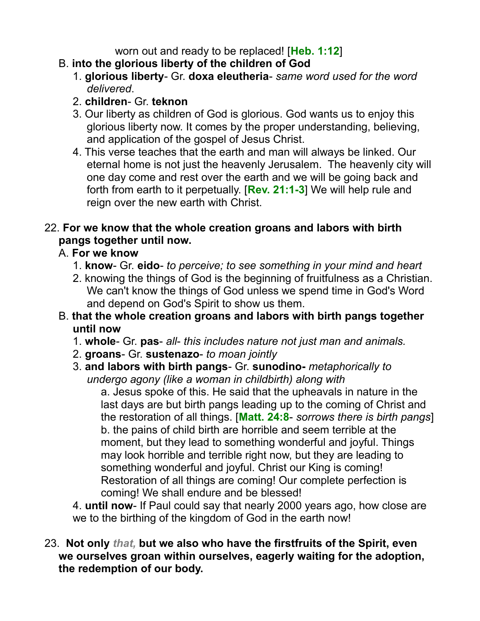worn out and ready to be replaced! [**Heb. 1:12**]

- B. **into the glorious liberty of the children of God**
	- 1. **glorious liberty** Gr. **doxa eleutheria** *same word used for the word delivered*.
	- 2. **children** Gr. **teknon**
	- 3. Our liberty as children of God is glorious. God wants us to enjoy this glorious liberty now. It comes by the proper understanding, believing, and application of the gospel of Jesus Christ.
	- 4. This verse teaches that the earth and man will always be linked. Our eternal home is not just the heavenly Jerusalem. The heavenly city will one day come and rest over the earth and we will be going back and forth from earth to it perpetually. [**Rev. 21:1-3**] We will help rule and reign over the new earth with Christ.

## 22. **For we know that the whole creation groans and labors with birth pangs together until now.**

# A. **For we know**

- 1. **know** Gr. **eido** *to perceive; to see something in your mind and heart*
- 2. knowing the things of God is the beginning of fruitfulness as a Christian. We can't know the things of God unless we spend time in God's Word and depend on God's Spirit to show us them.
- B. **that the whole creation groans and labors with birth pangs together until now**
	- 1. **whole** Gr. **pas** *all this includes nature not just man and animals.*
	- 2. **groans** Gr. **sustenazo** *to moan jointly*
	- 3. **and labors with birth pangs** Gr. **sunodino-** *metaphorically to undergo agony (like a woman in childbirth) along with*

a. Jesus spoke of this. He said that the upheavals in nature in the last days are but birth pangs leading up to the coming of Christ and the restoration of all things. [**Matt. 24:8**- *sorrows there is birth pangs*] b. the pains of child birth are horrible and seem terrible at the moment, but they lead to something wonderful and joyful. Things may look horrible and terrible right now, but they are leading to something wonderful and joyful. Christ our King is coming! Restoration of all things are coming! Our complete perfection is coming! We shall endure and be blessed!

4. **until now**- If Paul could say that nearly 2000 years ago, how close are we to the birthing of the kingdom of God in the earth now!

23. **Not only** *that,* **but we also who have the firstfruits of the Spirit, even we ourselves groan within ourselves, eagerly waiting for the adoption, the redemption of our body.**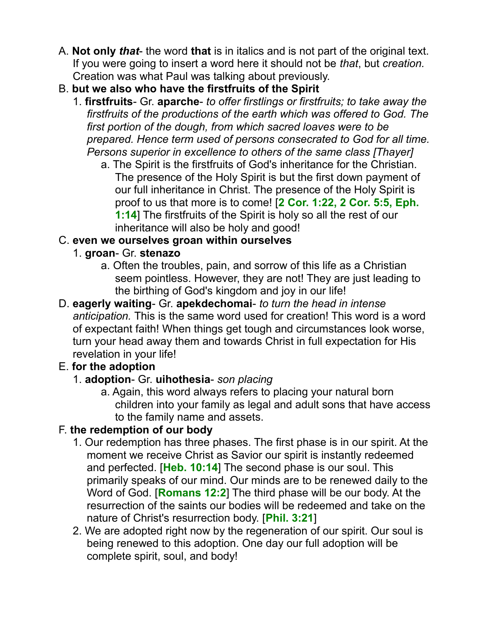- A. **Not only** *that* the word **that** is in italics and is not part of the original text. If you were going to insert a word here it should not be *that*, but *creation.* Creation was what Paul was talking about previously.
- B. **but we also who have the firstfruits of the Spirit**
	- 1. **firstfruits** Gr. **aparche** *to offer firstlings or firstfruits; to take away the firstfruits of the productions of the earth which was offered to God. The first portion of the dough, from which sacred loaves were to be prepared. Hence term used of persons consecrated to God for all time. Persons superior in excellence to others of the same class [Thayer]*
		- a. The Spirit is the firstfruits of God's inheritance for the Christian. The presence of the Holy Spirit is but the first down payment of our full inheritance in Christ. The presence of the Holy Spirit is proof to us that more is to come! [**2 Cor. 1:22, 2 Cor. 5:5, Eph. 1:14**] The firstfruits of the Spirit is holy so all the rest of our inheritance will also be holy and good!

# C. **even we ourselves groan within ourselves**

- 1. **groan** Gr. **stenazo**
	- a. Often the troubles, pain, and sorrow of this life as a Christian seem pointless. However, they are not! They are just leading to the birthing of God's kingdom and joy in our life!
- D. **eagerly waiting** Gr. **apekdechomai** *to turn the head in intense anticipation.* This is the same word used for creation! This word is a word of expectant faith! When things get tough and circumstances look worse, turn your head away them and towards Christ in full expectation for His revelation in your life!

# E. **for the adoption**

- 1. **adoption** Gr. **uihothesia** *son placing*
	- a. Again, this word always refers to placing your natural born children into your family as legal and adult sons that have access to the family name and assets.

# F. **the redemption of our body**

- 1. Our redemption has three phases. The first phase is in our spirit. At the moment we receive Christ as Savior our spirit is instantly redeemed and perfected. [**Heb. 10:14**] The second phase is our soul. This primarily speaks of our mind. Our minds are to be renewed daily to the Word of God. [**Romans 12:2**] The third phase will be our body. At the resurrection of the saints our bodies will be redeemed and take on the nature of Christ's resurrection body. [**Phil. 3:21**]
- 2. We are adopted right now by the regeneration of our spirit. Our soul is being renewed to this adoption. One day our full adoption will be complete spirit, soul, and body!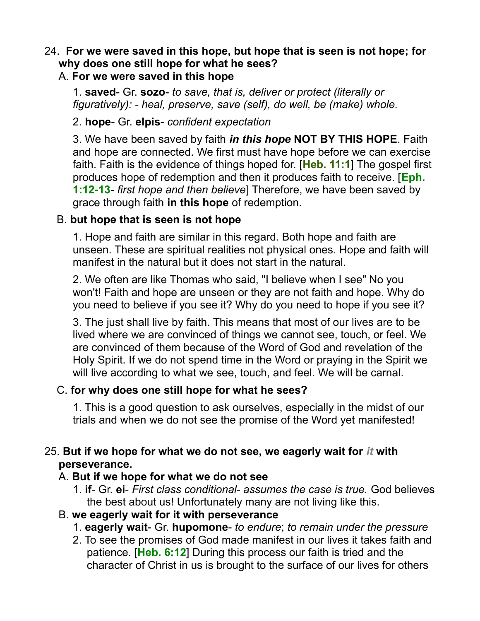# 24. **For we were saved in this hope, but hope that is seen is not hope; for why does one still hope for what he sees?**

## A. **For we were saved in this hope**

1. **saved**- Gr. **sozo**- *to save, that is, deliver or protect (literally or figuratively): - heal, preserve, save (self), do well, be (make) whole.*

## 2. **hope**- Gr. **elpis**- *confident expectation*

3. We have been saved by faith *in this hope* **NOT BY THIS HOPE**. Faith and hope are connected. We first must have hope before we can exercise faith. Faith is the evidence of things hoped for. [**Heb. 11:1**] The gospel first produces hope of redemption and then it produces faith to receive. [**Eph. 1:12-13**- *first hope and then believe*] Therefore, we have been saved by grace through faith **in this hope** of redemption.

## B. **but hope that is seen is not hope**

1. Hope and faith are similar in this regard. Both hope and faith are unseen. These are spiritual realities not physical ones. Hope and faith will manifest in the natural but it does not start in the natural.

2. We often are like Thomas who said, "I believe when I see" No you won't! Faith and hope are unseen or they are not faith and hope. Why do you need to believe if you see it? Why do you need to hope if you see it?

3. The just shall live by faith. This means that most of our lives are to be lived where we are convinced of things we cannot see, touch, or feel. We are convinced of them because of the Word of God and revelation of the Holy Spirit. If we do not spend time in the Word or praying in the Spirit we will live according to what we see, touch, and feel. We will be carnal.

## C. **for why does one still hope for what he sees?**

1. This is a good question to ask ourselves, especially in the midst of our trials and when we do not see the promise of the Word yet manifested!

## 25. **But if we hope for what we do not see, we eagerly wait for** *it* **with perseverance.**

#### A. **But if we hope for what we do not see**

1. **if**- Gr. **ei**- *First class conditional- assumes the case is true.* God believes the best about us! Unfortunately many are not living like this.

## B. **we eagerly wait for it with perseverance**

- 1. **eagerly wait** Gr. **hupomone** *to endure*; *to remain under the pressure*
- 2. To see the promises of God made manifest in our lives it takes faith and patience. [**Heb. 6:12**] During this process our faith is tried and the character of Christ in us is brought to the surface of our lives for others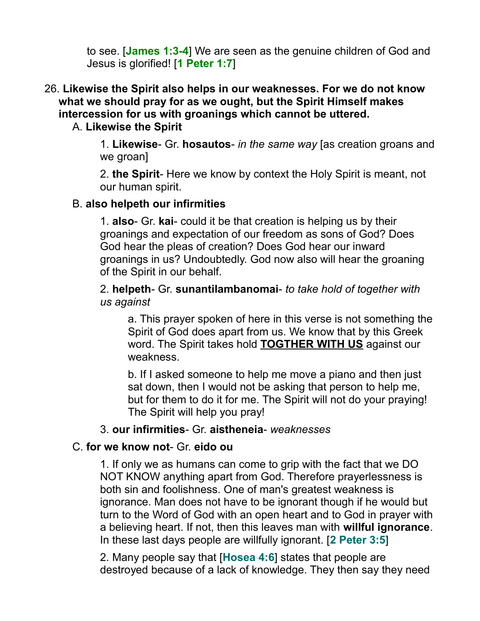to see. [**James 1:3-4**] We are seen as the genuine children of God and Jesus is glorified! [**1 Peter 1:7**]

26. **Likewise the Spirit also helps in our weaknesses. For we do not know what we should pray for as we ought, but the Spirit Himself makes intercession for us with groanings which cannot be uttered.** 

#### A. **Likewise the Spirit**

1. **Likewise**- Gr. **hosautos**- *in the same way* [as creation groans and we groan]

2. **the Spirit**- Here we know by context the Holy Spirit is meant, not our human spirit.

## B. **also helpeth our infirmities**

1. **also**- Gr. **kai**- could it be that creation is helping us by their groanings and expectation of our freedom as sons of God? Does God hear the pleas of creation? Does God hear our inward groanings in us? Undoubtedly. God now also will hear the groaning of the Spirit in our behalf.

2. **helpeth**- Gr. **sunantilambanomai**- *to take hold of together with us against*

a. This prayer spoken of here in this verse is not something the Spirit of God does apart from us. We know that by this Greek word. The Spirit takes hold **TOGTHER WITH US** against our weakness.

b. If I asked someone to help me move a piano and then just sat down, then I would not be asking that person to help me, but for them to do it for me. The Spirit will not do your praying! The Spirit will help you pray!

#### 3. **our infirmities**- Gr. **aistheneia**- *weaknesses*

#### C. **for we know not**- Gr. **eido ou**

1. If only we as humans can come to grip with the fact that we DO NOT KNOW anything apart from God. Therefore prayerlessness is both sin and foolishness. One of man's greatest weakness is ignorance. Man does not have to be ignorant though if he would but turn to the Word of God with an open heart and to God in prayer with a believing heart. If not, then this leaves man with **willful ignorance**. In these last days people are willfully ignorant. [**2 Peter 3:5**]

2. Many people say that [**Hosea 4:6**] states that people are destroyed because of a lack of knowledge. They then say they need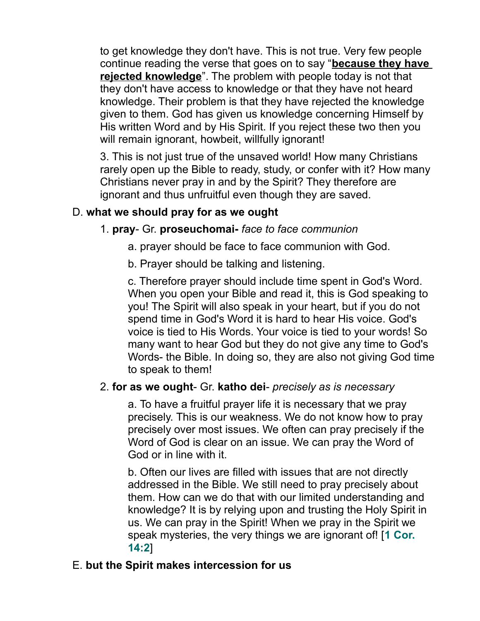to get knowledge they don't have. This is not true. Very few people continue reading the verse that goes on to say "**because they have rejected knowledge**". The problem with people today is not that they don't have access to knowledge or that they have not heard knowledge. Their problem is that they have rejected the knowledge given to them. God has given us knowledge concerning Himself by His written Word and by His Spirit. If you reject these two then you will remain ignorant, howbeit, willfully ignorant!

3. This is not just true of the unsaved world! How many Christians rarely open up the Bible to ready, study, or confer with it? How many Christians never pray in and by the Spirit? They therefore are ignorant and thus unfruitful even though they are saved.

## D. **what we should pray for as we ought**

## 1. **pray**- Gr. **proseuchomai-** *face to face communion*

- a. prayer should be face to face communion with God.
- b. Prayer should be talking and listening.

c. Therefore prayer should include time spent in God's Word. When you open your Bible and read it, this is God speaking to you! The Spirit will also speak in your heart, but if you do not spend time in God's Word it is hard to hear His voice. God's voice is tied to His Words. Your voice is tied to your words! So many want to hear God but they do not give any time to God's Words- the Bible. In doing so, they are also not giving God time to speak to them!

#### 2. **for as we ought**- Gr. **katho dei**- *precisely as is necessary*

a. To have a fruitful prayer life it is necessary that we pray precisely. This is our weakness. We do not know how to pray precisely over most issues. We often can pray precisely if the Word of God is clear on an issue. We can pray the Word of God or in line with it.

b. Often our lives are filled with issues that are not directly addressed in the Bible. We still need to pray precisely about them. How can we do that with our limited understanding and knowledge? It is by relying upon and trusting the Holy Spirit in us. We can pray in the Spirit! When we pray in the Spirit we speak mysteries, the very things we are ignorant of! [**1 Cor. 14:2**]

## E. **but the Spirit makes intercession for us**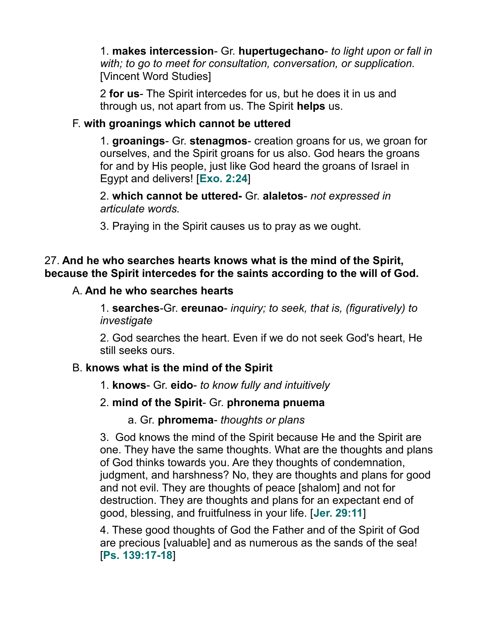1. **makes intercession**- Gr. **hupertugechano**- *to light upon or fall in with; to go to meet for consultation, conversation, or supplication.* [Vincent Word Studies]

2 **for us**- The Spirit intercedes for us, but he does it in us and through us, not apart from us. The Spirit **helps** us.

## F. **with groanings which cannot be uttered**

1. **groanings**- Gr. **stenagmos**- creation groans for us, we groan for ourselves, and the Spirit groans for us also. God hears the groans for and by His people, just like God heard the groans of Israel in Egypt and delivers! [**Exo. 2:24**]

2. **which cannot be uttered-** Gr. **alaletos**- *not expressed in articulate words.*

3. Praying in the Spirit causes us to pray as we ought.

#### 27. **And he who searches hearts knows what is the mind of the Spirit, because the Spirit intercedes for the saints according to the will of God.**

## A. **And he who searches hearts**

1. **searches**-Gr. **ereunao**- *inquiry; to seek, that is, (figuratively) to investigate*

2. God searches the heart. Even if we do not seek God's heart, He still seeks ours.

## B. **knows what is the mind of the Spirit**

1. **knows**- Gr. **eido**- *to know fully and intuitively*

## 2. **mind of the Spirit**- Gr. **phronema pnuema**

a. Gr. **phromema**- *thoughts or plans*

3. God knows the mind of the Spirit because He and the Spirit are one. They have the same thoughts. What are the thoughts and plans of God thinks towards you. Are they thoughts of condemnation, judgment, and harshness? No, they are thoughts and plans for good and not evil. They are thoughts of peace [shalom] and not for destruction. They are thoughts and plans for an expectant end of good, blessing, and fruitfulness in your life. [**Jer. 29:11**]

4. These good thoughts of God the Father and of the Spirit of God are precious [valuable] and as numerous as the sands of the sea! [**Ps. 139:17-18**]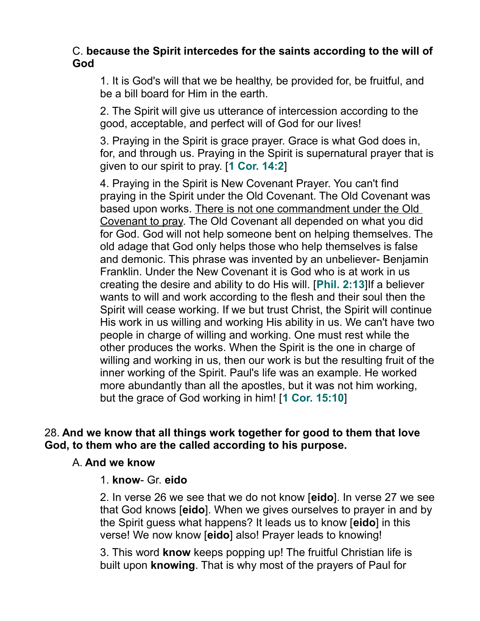## C. **because the Spirit intercedes for the saints according to the will of God**

1. It is God's will that we be healthy, be provided for, be fruitful, and be a bill board for Him in the earth.

2. The Spirit will give us utterance of intercession according to the good, acceptable, and perfect will of God for our lives!

3. Praying in the Spirit is grace prayer. Grace is what God does in, for, and through us. Praying in the Spirit is supernatural prayer that is given to our spirit to pray. [**1 Cor. 14:2**]

4. Praying in the Spirit is New Covenant Prayer. You can't find praying in the Spirit under the Old Covenant. The Old Covenant was based upon works. There is not one commandment under the Old Covenant to pray. The Old Covenant all depended on what you did for God. God will not help someone bent on helping themselves. The old adage that God only helps those who help themselves is false and demonic. This phrase was invented by an unbeliever- Benjamin Franklin. Under the New Covenant it is God who is at work in us creating the desire and ability to do His will. [**Phil. 2:13**]If a believer wants to will and work according to the flesh and their soul then the Spirit will cease working. If we but trust Christ, the Spirit will continue His work in us willing and working His ability in us. We can't have two people in charge of willing and working. One must rest while the other produces the works. When the Spirit is the one in charge of willing and working in us, then our work is but the resulting fruit of the inner working of the Spirit. Paul's life was an example. He worked more abundantly than all the apostles, but it was not him working, but the grace of God working in him! [**1 Cor. 15:10**]

## 28. **And we know that all things work together for good to them that love God, to them who are the called according to his purpose.**

#### A. **And we know**

#### 1. **know**- Gr. **eido**

2. In verse 26 we see that we do not know [**eido**]. In verse 27 we see that God knows [**eido**]. When we gives ourselves to prayer in and by the Spirit guess what happens? It leads us to know [**eido**] in this verse! We now know [**eido**] also! Prayer leads to knowing!

3. This word **know** keeps popping up! The fruitful Christian life is built upon **knowing**. That is why most of the prayers of Paul for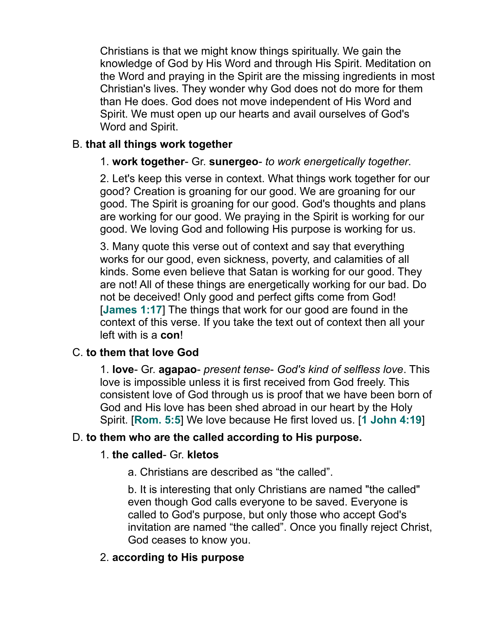Christians is that we might know things spiritually. We gain the knowledge of God by His Word and through His Spirit. Meditation on the Word and praying in the Spirit are the missing ingredients in most Christian's lives. They wonder why God does not do more for them than He does. God does not move independent of His Word and Spirit. We must open up our hearts and avail ourselves of God's Word and Spirit.

#### B. **that all things work together**

## 1. **work together**- Gr. **sunergeo**- *to work energetically together*.

2. Let's keep this verse in context. What things work together for our good? Creation is groaning for our good. We are groaning for our good. The Spirit is groaning for our good. God's thoughts and plans are working for our good. We praying in the Spirit is working for our good. We loving God and following His purpose is working for us.

3. Many quote this verse out of context and say that everything works for our good, even sickness, poverty, and calamities of all kinds. Some even believe that Satan is working for our good. They are not! All of these things are energetically working for our bad. Do not be deceived! Only good and perfect gifts come from God! [**James 1:17**] The things that work for our good are found in the context of this verse. If you take the text out of context then all your left with is a **con**!

## C. **to them that love God**

1. **love**- Gr. **agapao**- *present tense*- *God's kind of selfless love*. This love is impossible unless it is first received from God freely. This consistent love of God through us is proof that we have been born of God and His love has been shed abroad in our heart by the Holy Spirit. [**Rom. 5:5**] We love because He first loved us. [**1 John 4:19**]

## D. **to them who are the called according to His purpose.**

#### 1. **the called**- Gr. **kletos**

a. Christians are described as "the called".

b. It is interesting that only Christians are named "the called" even though God calls everyone to be saved. Everyone is called to God's purpose, but only those who accept God's invitation are named "the called". Once you finally reject Christ, God ceases to know you.

## 2. **according to His purpose**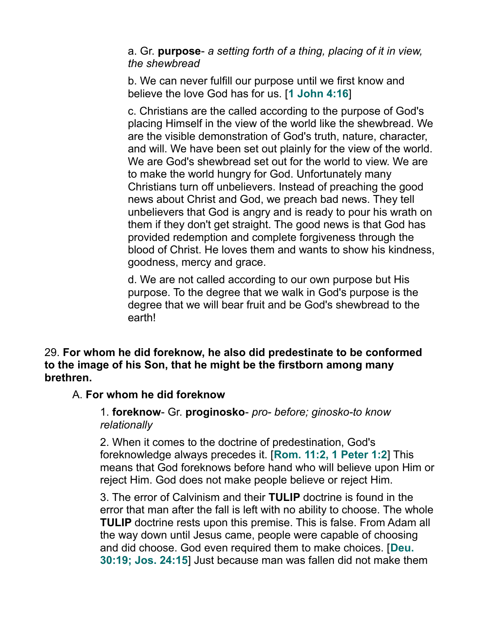a. Gr. **purpose**- *a setting forth of a thing, placing of it in view, the shewbread*

b. We can never fulfill our purpose until we first know and believe the love God has for us. [**1 John 4:16**]

c. Christians are the called according to the purpose of God's placing Himself in the view of the world like the shewbread. We are the visible demonstration of God's truth, nature, character, and will. We have been set out plainly for the view of the world. We are God's shewbread set out for the world to view. We are to make the world hungry for God. Unfortunately many Christians turn off unbelievers. Instead of preaching the good news about Christ and God, we preach bad news. They tell unbelievers that God is angry and is ready to pour his wrath on them if they don't get straight. The good news is that God has provided redemption and complete forgiveness through the blood of Christ. He loves them and wants to show his kindness, goodness, mercy and grace.

d. We are not called according to our own purpose but His purpose. To the degree that we walk in God's purpose is the degree that we will bear fruit and be God's shewbread to the earth!

29. **For whom he did foreknow, he also did predestinate to be conformed to the image of his Son, that he might be the firstborn among many brethren.**

#### A. **For whom he did foreknow**

#### 1. **foreknow**- Gr. **proginosko**- *pro- before; ginosko-to know relationally*

2. When it comes to the doctrine of predestination, God's foreknowledge always precedes it. [**Rom. 11:2, 1 Peter 1:2**] This means that God foreknows before hand who will believe upon Him or reject Him. God does not make people believe or reject Him.

3. The error of Calvinism and their **TULIP** doctrine is found in the error that man after the fall is left with no ability to choose. The whole **TULIP** doctrine rests upon this premise. This is false. From Adam all the way down until Jesus came, people were capable of choosing and did choose. God even required them to make choices. [**Deu. 30:19; Jos. 24:15**] Just because man was fallen did not make them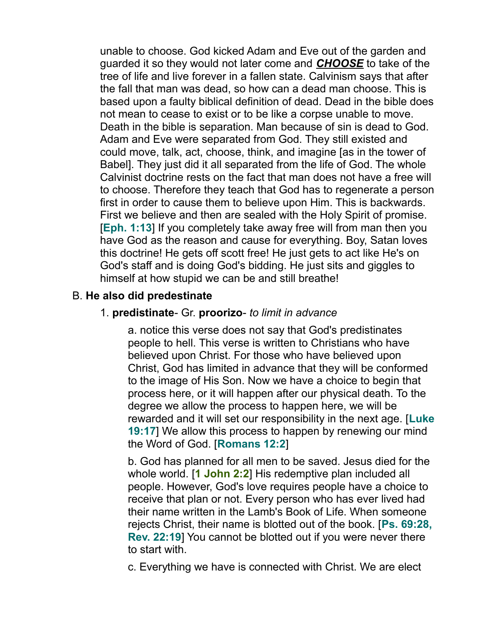unable to choose. God kicked Adam and Eve out of the garden and guarded it so they would not later come and *CHOOSE* to take of the tree of life and live forever in a fallen state. Calvinism says that after the fall that man was dead, so how can a dead man choose. This is based upon a faulty biblical definition of dead. Dead in the bible does not mean to cease to exist or to be like a corpse unable to move. Death in the bible is separation. Man because of sin is dead to God. Adam and Eve were separated from God. They still existed and could move, talk, act, choose, think, and imagine [as in the tower of Babel]. They just did it all separated from the life of God. The whole Calvinist doctrine rests on the fact that man does not have a free will to choose. Therefore they teach that God has to regenerate a person first in order to cause them to believe upon Him. This is backwards. First we believe and then are sealed with the Holy Spirit of promise. [**Eph. 1:13**] If you completely take away free will from man then you have God as the reason and cause for everything. Boy, Satan loves this doctrine! He gets off scott free! He just gets to act like He's on God's staff and is doing God's bidding. He just sits and giggles to himself at how stupid we can be and still breathe!

#### B. **He also did predestinate**

#### 1. **predistinate**- Gr. **proorizo**- *to limit in advance*

a. notice this verse does not say that God's predistinates people to hell. This verse is written to Christians who have believed upon Christ. For those who have believed upon Christ, God has limited in advance that they will be conformed to the image of His Son. Now we have a choice to begin that process here, or it will happen after our physical death. To the degree we allow the process to happen here, we will be rewarded and it will set our responsibility in the next age. [**Luke 19:17**] We allow this process to happen by renewing our mind the Word of God. [**Romans 12:2**]

b. God has planned for all men to be saved. Jesus died for the whole world. [**1 John 2:2**] His redemptive plan included all people. However, God's love requires people have a choice to receive that plan or not. Every person who has ever lived had their name written in the Lamb's Book of Life. When someone rejects Christ, their name is blotted out of the book. [**Ps. 69:28, Rev. 22:19**] You cannot be blotted out if you were never there to start with.

c. Everything we have is connected with Christ. We are elect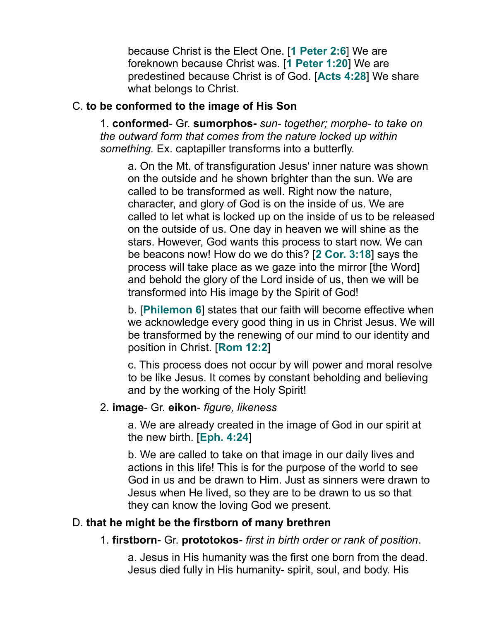because Christ is the Elect One. [**1 Peter 2:6**] We are foreknown because Christ was. [**1 Peter 1:20**] We are predestined because Christ is of God. [**Acts 4:28**] We share what belongs to Christ.

### C. **to be conformed to the image of His Son**

1. **conformed**- Gr. **sumorphos-** *sun- together; morphe- to take on the outward form that comes from the nature locked up within something.* Ex. captapiller transforms into a butterfly.

a. On the Mt. of transfiguration Jesus' inner nature was shown on the outside and he shown brighter than the sun. We are called to be transformed as well. Right now the nature, character, and glory of God is on the inside of us. We are called to let what is locked up on the inside of us to be released on the outside of us. One day in heaven we will shine as the stars. However, God wants this process to start now. We can be beacons now! How do we do this? [**2 Cor. 3:18**] says the process will take place as we gaze into the mirror [the Word] and behold the glory of the Lord inside of us, then we will be transformed into His image by the Spirit of God!

b. [**Philemon 6**] states that our faith will become effective when we acknowledge every good thing in us in Christ Jesus. We will be transformed by the renewing of our mind to our identity and position in Christ. [**Rom 12:2**]

c. This process does not occur by will power and moral resolve to be like Jesus. It comes by constant beholding and believing and by the working of the Holy Spirit!

#### 2. **image**- Gr. **eikon**- *figure, likeness*

a. We are already created in the image of God in our spirit at the new birth. [**Eph. 4:24**]

b. We are called to take on that image in our daily lives and actions in this life! This is for the purpose of the world to see God in us and be drawn to Him. Just as sinners were drawn to Jesus when He lived, so they are to be drawn to us so that they can know the loving God we present.

## D. **that he might be the firstborn of many brethren**

1. **firstborn**- Gr. **prototokos**- *first in birth order or rank of position*.

a. Jesus in His humanity was the first one born from the dead. Jesus died fully in His humanity- spirit, soul, and body. His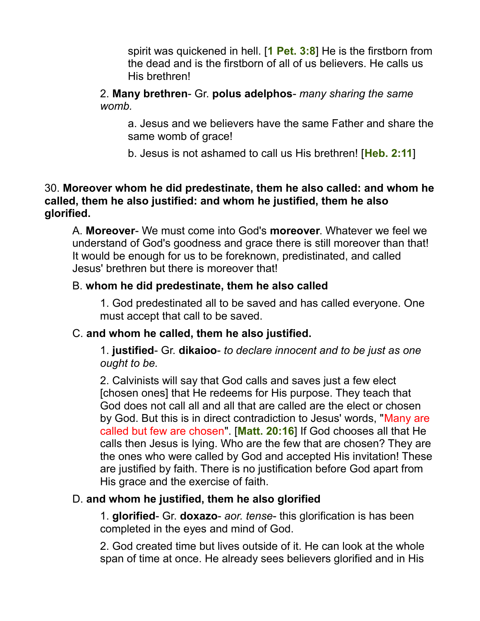spirit was quickened in hell. [**1 Pet. 3:8**] He is the firstborn from the dead and is the firstborn of all of us believers. He calls us His brethren!

2. **Many brethren**- Gr. **polus adelphos**- *many sharing the same womb.* 

a. Jesus and we believers have the same Father and share the same womb of grace!

b. Jesus is not ashamed to call us His brethren! [**Heb. 2:11**]

#### 30. **Moreover whom he did predestinate, them he also called: and whom he called, them he also justified: and whom he justified, them he also glorified.**

A. **Moreover**- We must come into God's **moreover**. Whatever we feel we understand of God's goodness and grace there is still moreover than that! It would be enough for us to be foreknown, predistinated, and called Jesus' brethren but there is moreover that!

#### B. **whom he did predestinate, them he also called**

1. God predestinated all to be saved and has called everyone. One must accept that call to be saved.

#### C. **and whom he called, them he also justified.**

1. **justified**- Gr. **dikaioo**- *to declare innocent and to be just as one ought to be.*

2. Calvinists will say that God calls and saves just a few elect [chosen ones] that He redeems for His purpose. They teach that God does not call all and all that are called are the elect or chosen by God. But this is in direct contradiction to Jesus' words, "Many are called but few are chosen". [**Matt. 20:16**] If God chooses all that He calls then Jesus is lying. Who are the few that are chosen? They are the ones who were called by God and accepted His invitation! These are justified by faith. There is no justification before God apart from His grace and the exercise of faith.

## D. **and whom he justified, them he also glorified**

1. **glorified**- Gr. **doxazo**- *aor. tense*- this glorification is has been completed in the eyes and mind of God.

2. God created time but lives outside of it. He can look at the whole span of time at once. He already sees believers glorified and in His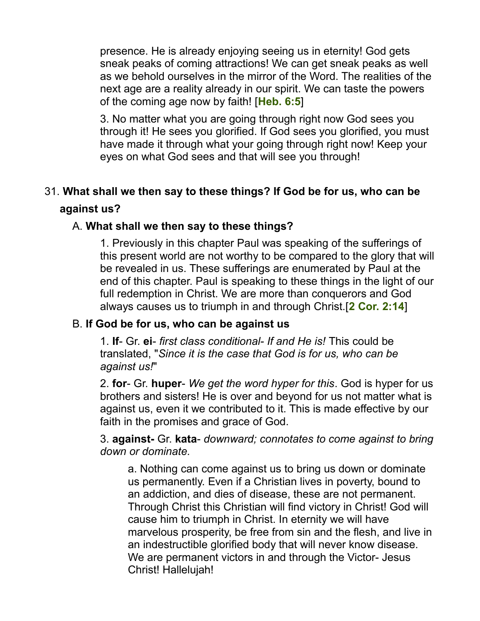presence. He is already enjoying seeing us in eternity! God gets sneak peaks of coming attractions! We can get sneak peaks as well as we behold ourselves in the mirror of the Word. The realities of the next age are a reality already in our spirit. We can taste the powers of the coming age now by faith! [**Heb. 6:5**]

3. No matter what you are going through right now God sees you through it! He sees you glorified. If God sees you glorified, you must have made it through what your going through right now! Keep your eyes on what God sees and that will see you through!

# 31. **What shall we then say to these things? If God be for us, who can be**

## **against us?**

## A. **What shall we then say to these things?**

1. Previously in this chapter Paul was speaking of the sufferings of this present world are not worthy to be compared to the glory that will be revealed in us. These sufferings are enumerated by Paul at the end of this chapter. Paul is speaking to these things in the light of our full redemption in Christ. We are more than conquerors and God always causes us to triumph in and through Christ.[**2 Cor. 2:14**]

#### B. **If God be for us, who can be against us**

1. **If**- Gr. **ei**- *first class conditional- If and He is!* This could be translated, "*Since it is the case that God is for us, who can be against us!*"

2. **for**- Gr. **huper**- *We get the word hyper for this*. God is hyper for us brothers and sisters! He is over and beyond for us not matter what is against us, even it we contributed to it. This is made effective by our faith in the promises and grace of God.

3. **against-** Gr. **kata**- *downward; connotates to come against to bring down or dominate.* 

a. Nothing can come against us to bring us down or dominate us permanently. Even if a Christian lives in poverty, bound to an addiction, and dies of disease, these are not permanent. Through Christ this Christian will find victory in Christ! God will cause him to triumph in Christ. In eternity we will have marvelous prosperity, be free from sin and the flesh, and live in an indestructible glorified body that will never know disease. We are permanent victors in and through the Victor- Jesus Christ! Hallelujah!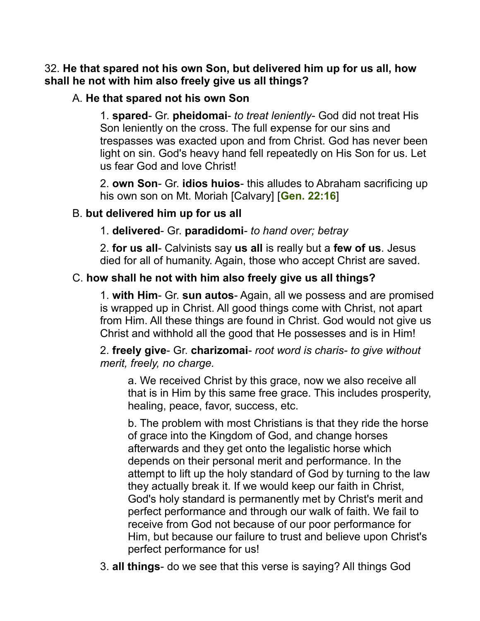## 32. **He that spared not his own Son, but delivered him up for us all, how shall he not with him also freely give us all things?**

## A. **He that spared not his own Son**

1. **spared**- Gr. **pheidomai**- *to treat leniently*- God did not treat His Son leniently on the cross. The full expense for our sins and trespasses was exacted upon and from Christ. God has never been light on sin. God's heavy hand fell repeatedly on His Son for us. Let us fear God and love Christ!

2. **own Son**- Gr. **idios huios**- this alludes to Abraham sacrificing up his own son on Mt. Moriah [Calvary] [**Gen. 22:16**]

## B. **but delivered him up for us all**

1. **delivered**- Gr. **paradidomi**- *to hand over; betray*

2. **for us all**- Calvinists say **us all** is really but a **few of us**. Jesus died for all of humanity. Again, those who accept Christ are saved.

## C. **how shall he not with him also freely give us all things?**

1. **with Him**- Gr. **sun autos**- Again, all we possess and are promised is wrapped up in Christ. All good things come with Christ, not apart from Him. All these things are found in Christ. God would not give us Christ and withhold all the good that He possesses and is in Him!

2. **freely give**- Gr. **charizomai**- *root word is charis- to give without merit, freely, no charge.*

a. We received Christ by this grace, now we also receive all that is in Him by this same free grace. This includes prosperity, healing, peace, favor, success, etc.

b. The problem with most Christians is that they ride the horse of grace into the Kingdom of God, and change horses afterwards and they get onto the legalistic horse which depends on their personal merit and performance. In the attempt to lift up the holy standard of God by turning to the law they actually break it. If we would keep our faith in Christ, God's holy standard is permanently met by Christ's merit and perfect performance and through our walk of faith. We fail to receive from God not because of our poor performance for Him, but because our failure to trust and believe upon Christ's perfect performance for us!

3. **all things**- do we see that this verse is saying? All things God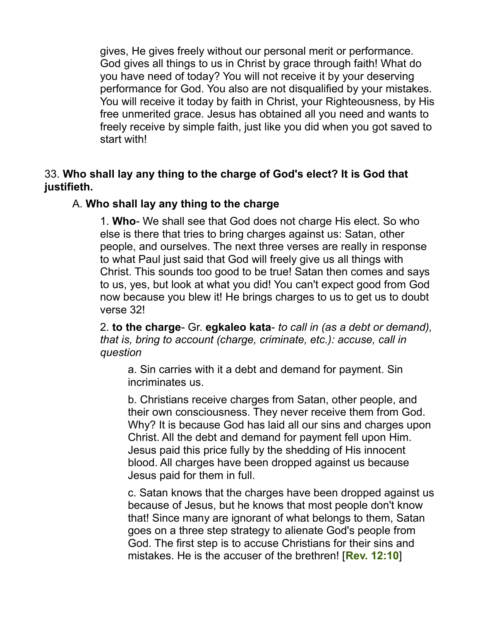gives, He gives freely without our personal merit or performance. God gives all things to us in Christ by grace through faith! What do you have need of today? You will not receive it by your deserving performance for God. You also are not disqualified by your mistakes. You will receive it today by faith in Christ, your Righteousness, by His free unmerited grace. Jesus has obtained all you need and wants to freely receive by simple faith, just like you did when you got saved to start with!

33. **Who shall lay any thing to the charge of God's elect? It is God that justifieth.**

#### A. **Who shall lay any thing to the charge**

1. **Who**- We shall see that God does not charge His elect. So who else is there that tries to bring charges against us: Satan, other people, and ourselves. The next three verses are really in response to what Paul just said that God will freely give us all things with Christ. This sounds too good to be true! Satan then comes and says to us, yes, but look at what you did! You can't expect good from God now because you blew it! He brings charges to us to get us to doubt verse 32!

2. **to the charge**- Gr. **egkaleo kata**- *to call in (as a debt or demand), that is, bring to account (charge, criminate, etc.): accuse, call in question*

a. Sin carries with it a debt and demand for payment. Sin incriminates us.

b. Christians receive charges from Satan, other people, and their own consciousness. They never receive them from God. Why? It is because God has laid all our sins and charges upon Christ. All the debt and demand for payment fell upon Him. Jesus paid this price fully by the shedding of His innocent blood. All charges have been dropped against us because Jesus paid for them in full.

c. Satan knows that the charges have been dropped against us because of Jesus, but he knows that most people don't know that! Since many are ignorant of what belongs to them, Satan goes on a three step strategy to alienate God's people from God. The first step is to accuse Christians for their sins and mistakes. He is the accuser of the brethren! [**Rev. 12:10**]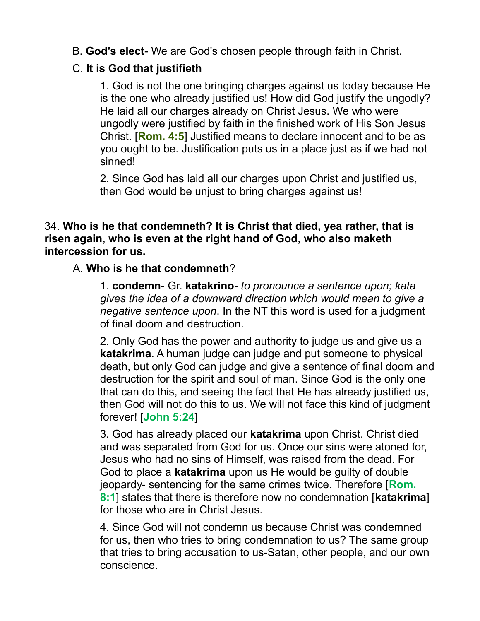B. **God's elect**- We are God's chosen people through faith in Christ.

## C. **It is God that justifieth**

1. God is not the one bringing charges against us today because He is the one who already justified us! How did God justify the ungodly? He laid all our charges already on Christ Jesus. We who were ungodly were justified by faith in the finished work of His Son Jesus Christ. [**Rom. 4:5**] Justified means to declare innocent and to be as you ought to be. Justification puts us in a place just as if we had not sinned!

2. Since God has laid all our charges upon Christ and justified us, then God would be unjust to bring charges against us!

#### 34. **Who is he that condemneth? It is Christ that died, yea rather, that is risen again, who is even at the right hand of God, who also maketh intercession for us.**

## A. **Who is he that condemneth**?

1. **condemn**- Gr. **katakrino***- to pronounce a sentence upon; kata gives the idea of a downward direction which would mean to give a negative sentence upon*. In the NT this word is used for a judgment of final doom and destruction.

2. Only God has the power and authority to judge us and give us a **katakrima**. A human judge can judge and put someone to physical death, but only God can judge and give a sentence of final doom and destruction for the spirit and soul of man. Since God is the only one that can do this, and seeing the fact that He has already justified us, then God will not do this to us. We will not face this kind of judgment forever! [**John 5:24**]

3. God has already placed our **katakrima** upon Christ. Christ died and was separated from God for us. Once our sins were atoned for, Jesus who had no sins of Himself, was raised from the dead. For God to place a **katakrima** upon us He would be guilty of double jeopardy- sentencing for the same crimes twice. Therefore [**Rom. 8:1**] states that there is therefore now no condemnation [**katakrima**] for those who are in Christ Jesus.

4. Since God will not condemn us because Christ was condemned for us, then who tries to bring condemnation to us? The same group that tries to bring accusation to us-Satan, other people, and our own conscience.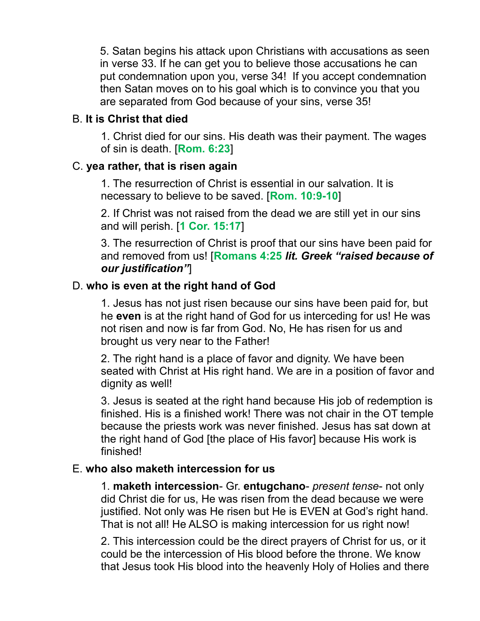5. Satan begins his attack upon Christians with accusations as seen in verse 33. If he can get you to believe those accusations he can put condemnation upon you, verse 34! If you accept condemnation then Satan moves on to his goal which is to convince you that you are separated from God because of your sins, verse 35!

#### B. **It is Christ that died**

1. Christ died for our sins. His death was their payment. The wages of sin is death. [**Rom. 6:23**]

#### C. **yea rather, that is risen again**

1. The resurrection of Christ is essential in our salvation. It is necessary to believe to be saved. [**Rom. 10:9-10**]

2. If Christ was not raised from the dead we are still yet in our sins and will perish. [**1 Cor. 15:17**]

3. The resurrection of Christ is proof that our sins have been paid for and removed from us! [**Romans 4:25** *lit. Greek "raised because of our justification"*]

#### D. **who is even at the right hand of God**

1. Jesus has not just risen because our sins have been paid for, but he **even** is at the right hand of God for us interceding for us! He was not risen and now is far from God. No, He has risen for us and brought us very near to the Father!

2. The right hand is a place of favor and dignity. We have been seated with Christ at His right hand. We are in a position of favor and dignity as well!

3. Jesus is seated at the right hand because His job of redemption is finished. His is a finished work! There was not chair in the OT temple because the priests work was never finished. Jesus has sat down at the right hand of God [the place of His favor] because His work is finished!

#### E. **who also maketh intercession for us**

1. **maketh intercession**- Gr. **entugchano**- *present tense*- not only did Christ die for us, He was risen from the dead because we were justified. Not only was He risen but He is EVEN at God's right hand. That is not all! He ALSO is making intercession for us right now!

2. This intercession could be the direct prayers of Christ for us, or it could be the intercession of His blood before the throne. We know that Jesus took His blood into the heavenly Holy of Holies and there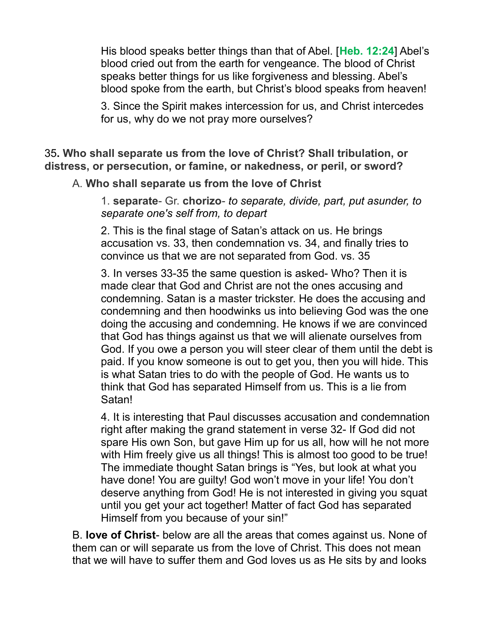His blood speaks better things than that of Abel. [**Heb. 12:24**] Abel's blood cried out from the earth for vengeance. The blood of Christ speaks better things for us like forgiveness and blessing. Abel's blood spoke from the earth, but Christ's blood speaks from heaven!

3. Since the Spirit makes intercession for us, and Christ intercedes for us, why do we not pray more ourselves?

35**. Who shall separate us from the love of Christ? Shall tribulation, or distress, or persecution, or famine, or nakedness, or peril, or sword?**

A. **Who shall separate us from the love of Christ**

1. **separate**- Gr. **chorizo**- *to separate, divide, part, put asunder, to separate one's self from, to depart*

2. This is the final stage of Satan's attack on us. He brings accusation vs. 33, then condemnation vs. 34, and finally tries to convince us that we are not separated from God. vs. 35

3. In verses 33-35 the same question is asked- Who? Then it is made clear that God and Christ are not the ones accusing and condemning. Satan is a master trickster. He does the accusing and condemning and then hoodwinks us into believing God was the one doing the accusing and condemning. He knows if we are convinced that God has things against us that we will alienate ourselves from God. If you owe a person you will steer clear of them until the debt is paid. If you know someone is out to get you, then you will hide. This is what Satan tries to do with the people of God. He wants us to think that God has separated Himself from us. This is a lie from Satan!

4. It is interesting that Paul discusses accusation and condemnation right after making the grand statement in verse 32- If God did not spare His own Son, but gave Him up for us all, how will he not more with Him freely give us all things! This is almost too good to be true! The immediate thought Satan brings is "Yes, but look at what you have done! You are guilty! God won't move in your life! You don't deserve anything from God! He is not interested in giving you squat until you get your act together! Matter of fact God has separated Himself from you because of your sin!"

B. **love of Christ**- below are all the areas that comes against us. None of them can or will separate us from the love of Christ. This does not mean that we will have to suffer them and God loves us as He sits by and looks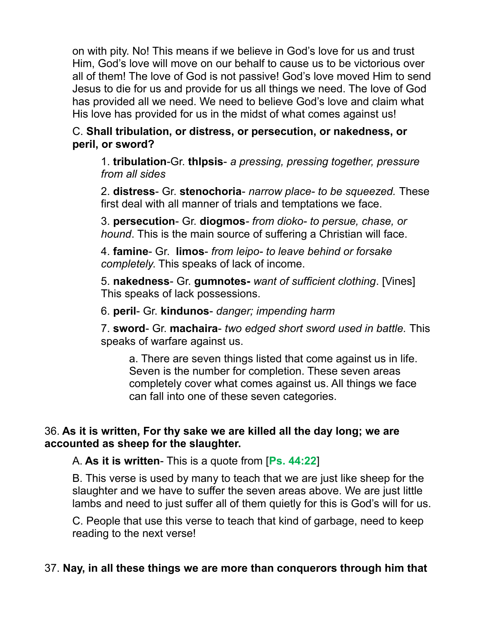on with pity. No! This means if we believe in God's love for us and trust Him, God's love will move on our behalf to cause us to be victorious over all of them! The love of God is not passive! God's love moved Him to send Jesus to die for us and provide for us all things we need. The love of God has provided all we need. We need to believe God's love and claim what His love has provided for us in the midst of what comes against us!

C. **Shall tribulation, or distress, or persecution, or nakedness, or peril, or sword?**

1. **tribulation**-Gr. **thlpsis**- *a pressing, pressing together, pressure from all sides*

2. **distress**- Gr. **stenochoria**- *narrow place- to be squeezed.* These first deal with all manner of trials and temptations we face.

3. **persecution**- Gr. **diogmos***- from dioko- to persue, chase, or hound*. This is the main source of suffering a Christian will face.

4. **famine**- Gr. **limos**- *from leipo- to leave behind or forsake completely*. This speaks of lack of income.

5. **nakedness**- Gr. **gumnotes-** *want of sufficient clothing*. [Vines] This speaks of lack possessions.

6. **peril**- Gr. **kindunos**- *danger; impending harm*

7. **sword**- Gr. **machaira**- *two edged short sword used in battle.* This speaks of warfare against us.

a. There are seven things listed that come against us in life. Seven is the number for completion. These seven areas completely cover what comes against us. All things we face can fall into one of these seven categories.

## 36. **As it is written, For thy sake we are killed all the day long; we are accounted as sheep for the slaughter.**

A. **As it is written**- This is a quote from [**Ps. 44:22**]

B. This verse is used by many to teach that we are just like sheep for the slaughter and we have to suffer the seven areas above. We are just little lambs and need to just suffer all of them quietly for this is God's will for us.

C. People that use this verse to teach that kind of garbage, need to keep reading to the next verse!

## 37. **Nay, in all these things we are more than conquerors through him that**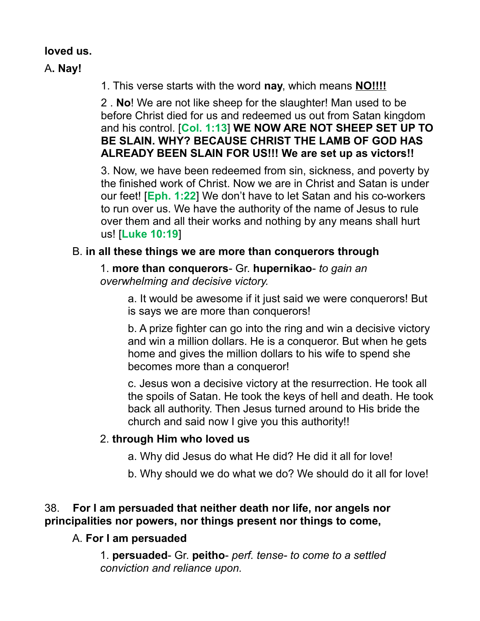## **loved us.**

A**. Nay!**

1. This verse starts with the word **nay**, which means **NO!!!!**

2 . **No**! We are not like sheep for the slaughter! Man used to be before Christ died for us and redeemed us out from Satan kingdom and his control. [**Col. 1:13**] **WE NOW ARE NOT SHEEP SET UP TO BE SLAIN. WHY? BECAUSE CHRIST THE LAMB OF GOD HAS ALREADY BEEN SLAIN FOR US!!! We are set up as victors!!**

3. Now, we have been redeemed from sin, sickness, and poverty by the finished work of Christ. Now we are in Christ and Satan is under our feet! [**Eph. 1:22**] We don't have to let Satan and his co-workers to run over us. We have the authority of the name of Jesus to rule over them and all their works and nothing by any means shall hurt us! [**Luke 10:19**]

## B. **in all these things we are more than conquerors through**

1. **more than conquerors**- Gr. **hupernikao**- *to gain an overwhelming and decisive victory.*

> a. It would be awesome if it just said we were conquerors! But is says we are more than conquerors!

> b. A prize fighter can go into the ring and win a decisive victory and win a million dollars. He is a conqueror. But when he gets home and gives the million dollars to his wife to spend she becomes more than a conqueror!

c. Jesus won a decisive victory at the resurrection. He took all the spoils of Satan. He took the keys of hell and death. He took back all authority. Then Jesus turned around to His bride the church and said now I give you this authority!!

## 2. **through Him who loved us**

- a. Why did Jesus do what He did? He did it all for love!
- b. Why should we do what we do? We should do it all for love!

## 38. **For I am persuaded that neither death nor life, nor angels nor principalities nor powers, nor things present nor things to come,**

## A. **For I am persuaded**

1. **persuaded**- Gr. **peitho**- *perf. tense- to come to a settled conviction and reliance upon.*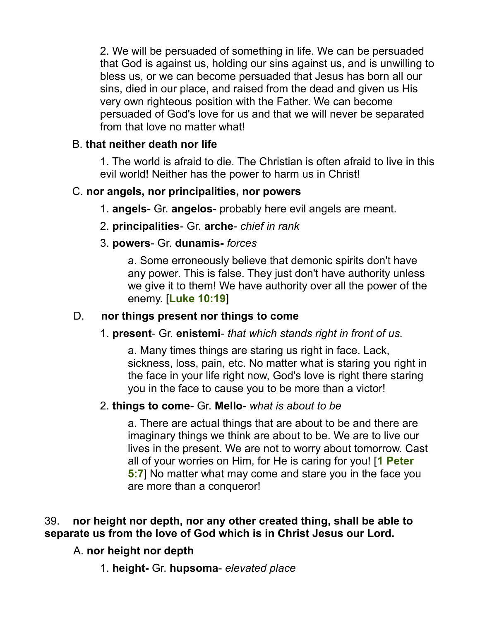2. We will be persuaded of something in life. We can be persuaded that God is against us, holding our sins against us, and is unwilling to bless us, or we can become persuaded that Jesus has born all our sins, died in our place, and raised from the dead and given us His very own righteous position with the Father. We can become persuaded of God's love for us and that we will never be separated from that love no matter what!

## B. **that neither death nor life**

1. The world is afraid to die. The Christian is often afraid to live in this evil world! Neither has the power to harm us in Christ!

## C. **nor angels, nor principalities, nor powers**

- 1. **angels** Gr. **angelos** probably here evil angels are meant.
- 2. **principalities** Gr. **arche** *chief in rank*

## 3. **powers**- Gr. **dunamis-** *forces*

a. Some erroneously believe that demonic spirits don't have any power. This is false. They just don't have authority unless we give it to them! We have authority over all the power of the enemy. [**Luke 10:19**]

### D. **nor things present nor things to come**

#### 1. **present**- Gr. **enistemi**- *that which stands right in front of us.*

a. Many times things are staring us right in face. Lack, sickness, loss, pain, etc. No matter what is staring you right in the face in your life right now, God's love is right there staring you in the face to cause you to be more than a victor!

#### 2. **things to come**- Gr. **Mello**- *what is about to be*

a. There are actual things that are about to be and there are imaginary things we think are about to be. We are to live our lives in the present. We are not to worry about tomorrow. Cast all of your worries on Him, for He is caring for you! [**1 Peter 5:7**] No matter what may come and stare you in the face you are more than a conqueror!

## 39. **nor height nor depth, nor any other created thing, shall be able to separate us from the love of God which is in Christ Jesus our Lord.**

## A. **nor height nor depth**

1. **height-** Gr. **hupsoma**- *elevated place*